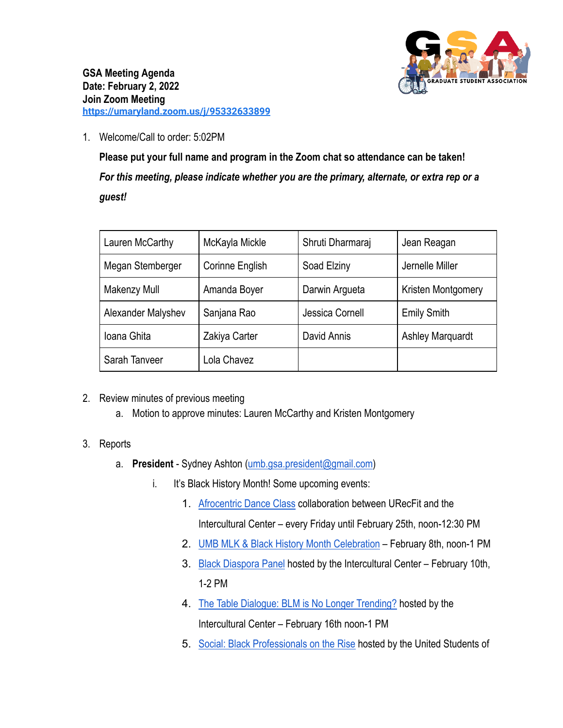

1. Welcome/Call to order: 5:02PM

**Please put your full name and program in the Zoom chat so attendance can be taken!** *For this meeting, please indicate whether you are the primary, alternate, or extra rep or a guest!*

| Lauren McCarthy    | McKayla Mickle  | Shruti Dharmaraj | Jean Reagan             |
|--------------------|-----------------|------------------|-------------------------|
| Megan Stemberger   | Corinne English | Soad Elziny      | Jernelle Miller         |
| Makenzy Mull       | Amanda Boyer    | Darwin Argueta   | Kristen Montgomery      |
| Alexander Malyshev | Sanjana Rao     | Jessica Cornell  | <b>Emily Smith</b>      |
| Ioana Ghita        | Zakiya Carter   | David Annis      | <b>Ashley Marquardt</b> |
| Sarah Tanveer      | Lola Chavez     |                  |                         |

- 2. Review minutes of previous meeting
	- a. Motion to approve minutes: Lauren McCarthy and Kristen Montgomery
- 3. Reports
	- a. **President** Sydney Ashton ([umb.gsa.president@gmail.com\)](mailto:umb.gsa.president@gmail.com)
		- i. It's Black History Month! Some upcoming events:
			- 1. [Afrocentric Dance Class](https://calendar.umaryland.edu/?month=01&day=31&year=2022&view=fulltext&id=d.en.563356×tamp=1643994000&) collaboration between URecFit and the Intercultural Center – every Friday until February 25th, noon-12:30 PM
			- 2. [UMB MLK & Black History Month Celebration](https://calendar.umaryland.edu/?month=01&day=31&year=2022&view=fulltext&id=d.en.563902×tamp=1644339600&) February 8th, noon-1 PM
			- 3. [Black Diaspora Panel](https://calendar.umaryland.edu/?month=01&day=31&year=2022&view=fulltext&id=d.en.563348×tamp=1644516000&) hosted by the Intercultural Center February 10th, 1-2 PM
			- 4. [The Table Dialogue: BLM is No Longer Trending?](https://calendar.umaryland.edu/?month=01&day=31&year=2022&view=fulltext&id=d.en.563351×tamp=1645030800&) hosted by the Intercultural Center – February 16th noon-1 PM
			- 5. [Social: Black Professionals on the Rise](https://calendar.umaryland.edu/?month=01&day=31&year=2022&view=fulltext&id=d.en.563352×tamp=1645660800&) hosted by the United Students of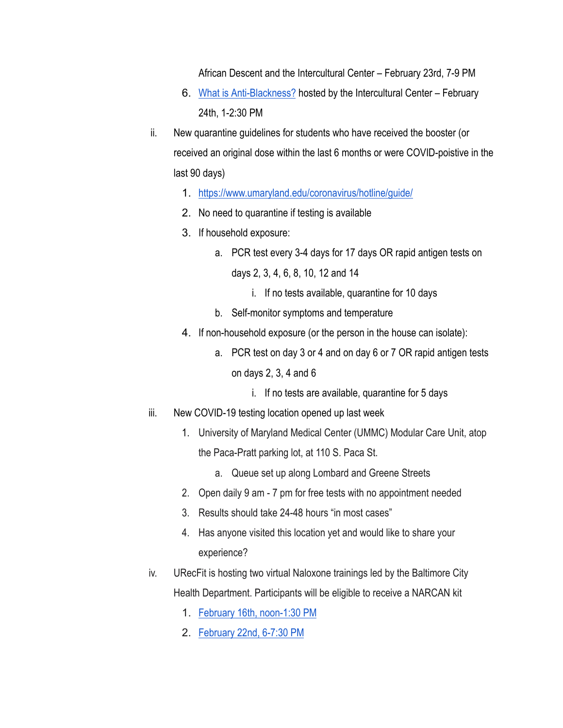African Descent and the Intercultural Center – February 23rd, 7-9 PM

- 6. [What is Anti-Blackness?](https://calendar.umaryland.edu/?month=01&day=31&year=2022&view=fulltext&id=d.en.563354×tamp=1645725600&) hosted by the Intercultural Center February 24th, 1-2:30 PM
- ii. New quarantine guidelines for students who have received the booster (or received an original dose within the last 6 months or were COVID-poistive in the last 90 days)
	- 1. <https://www.umaryland.edu/coronavirus/hotline/guide/>
	- 2. No need to quarantine if testing is available
	- 3. If household exposure:
		- a. PCR test every 3-4 days for 17 days OR rapid antigen tests on days 2, 3, 4, 6, 8, 10, 12 and 14
			- i. If no tests available, quarantine for 10 days
		- b. Self-monitor symptoms and temperature
	- 4. If non-household exposure (or the person in the house can isolate):
		- a. PCR test on day 3 or 4 and on day 6 or 7 OR rapid antigen tests on days 2, 3, 4 and 6
			- i. If no tests are available, quarantine for 5 days
- iii. New COVID-19 testing location opened up last week
	- 1. University of Maryland Medical Center (UMMC) Modular Care Unit, atop the Paca-Pratt parking lot, at 110 S. Paca St.
		- a. Queue set up along Lombard and Greene Streets
	- 2. Open daily 9 am 7 pm for free tests with no appointment needed
	- 3. Results should take 24-48 hours "in most cases"
	- 4. Has anyone visited this location yet and would like to share your experience?
- iv. URecFit is hosting two virtual Naloxone trainings led by the Baltimore City Health Department. Participants will be eligible to receive a NARCAN kit
	- 1. [February 16th, noon-1:30 PM](https://calendar.umaryland.edu/?month=01&day=31&year=2022&view=fulltext&id=d.en.564292×tamp=1645030800&)
	- 2. [February 22nd, 6-7:30 PM](https://calendar.umaryland.edu/?month=01&day=31&year=2022&view=fulltext&id=d.en.564303×tamp=1645570800&)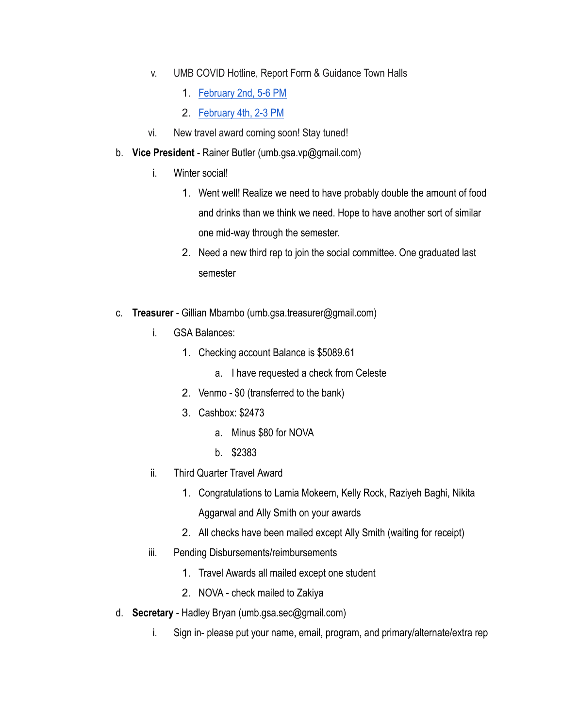- v. UMB COVID Hotline, Report Form & Guidance Town Halls
	- 1. [February 2nd, 5-6 PM](https://umaryland.zoom.us/meeting/register/tJEkf-yqqT0vGNGgbsZwte9HDg1LVVAT3U_j)
	- 2. [February 4th, 2-3 PM](https://umaryland.zoom.us/meeting/register/tJEocOyrpzgrGtK5FO9yviwGgtwK0xCIXpCz)
- vi. New travel award coming soon! Stay tuned!
- b. **Vice President** Rainer Butler (umb.gsa.vp@gmail.com)
	- i. Winter social!
		- 1. Went well! Realize we need to have probably double the amount of food and drinks than we think we need. Hope to have another sort of similar one mid-way through the semester.
		- 2. Need a new third rep to join the social committee. One graduated last semester
- c. **Treasurer** Gillian Mbambo (umb.gsa.treasurer@gmail.com)
	- i. GSA Balances:
		- 1. Checking account Balance is \$5089.61
			- a. I have requested a check from Celeste
		- 2. Venmo \$0 (transferred to the bank)
		- 3. Cashbox: \$2473
			- a. Minus \$80 for NOVA
			- b. \$2383
	- ii. Third Quarter Travel Award
		- 1. Congratulations to Lamia Mokeem, Kelly Rock, Raziyeh Baghi, Nikita Aggarwal and Ally Smith on your awards
		- 2. All checks have been mailed except Ally Smith (waiting for receipt)
	- iii. Pending Disbursements/reimbursements
		- 1. Travel Awards all mailed except one student
		- 2. NOVA check mailed to Zakiya
- d. **Secretary** Hadley Bryan (umb.gsa.sec@gmail.com)
	- i. Sign in- please put your name, email, program, and primary/alternate/extra rep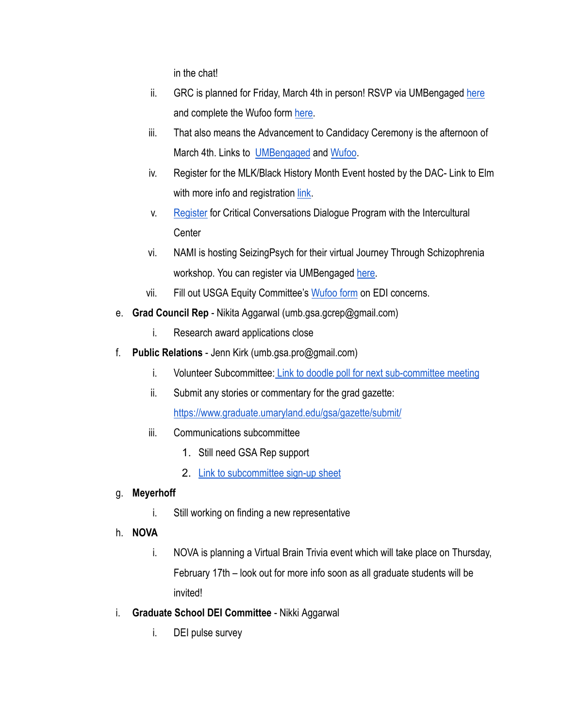in the chat!

- ii. GRC is planned for Friday, March 4th in person! RSVP via UMBengaged [here](https://cglink.me/2nF/r1449839) and complete the Wufoo form [here](https://umbforms.wufoo.com/forms/q19turri08lp67e/).
- iii. That also means the Advancement to Candidacy Ceremony is the afternoon of March 4th. Links to [UMBengaged](https://cglink.me/2nF/r1472704) and [Wufoo.](https://umbforms.wufoo.com/forms/q1kxzejx00uqu0p/)
- iv. Register for the MLK/Black History Month Event hosted by the DAC- Link to Elm with more info and registration [link](https://elm.umaryland.edu/announcements/Announcements-Content/MLK-and-Black-History-Month-Celebration-on-Feb-8-2022.php).
- v. [Register](https://clbs.wufoo.com/forms/mnobi7i07sigah/) for Critical Conversations Dialogue Program with the Intercultural **Center**
- vi. NAMI is hosting SeizingPsych for their virtual Journey Through Schizophrenia workshop. You can register via UMBengaged [here.](https://cglink.me/2nF/r1488053)
- vii. Fill out USGA Equity Committee's [Wufoo form](https://umbusgaequityofficers.wufoo.com/forms/z1nk693k1jygtrw/) on EDI concerns.
- e. **Grad Council Rep** Nikita Aggarwal (umb.gsa.gcrep@gmail.com)
	- i. Research award applications close
- f. **Public Relations** Jenn Kirk (umb.gsa.pro@gmail.com)
	- i. Volunteer Subcommittee: [Link to doodle poll for next](https://doodle.com/poll/f5hrk7r6f9pp8i65?utm_source=poll&utm_medium=link) sub-committee meeting
	- ii. Submit any stories or commentary for the grad gazette: <https://www.graduate.umaryland.edu/gsa/gazette/submit/>
	- iii. Communications subcommittee
		- 1. Still need GSA Rep support
		- 2. [Link to subcommittee sign-up sheet](https://docs.google.com/spreadsheets/d/1i0KLCGADcoN_xXXSZKCarf5cBUtkC6gA4Yb3Slvn7-0/edit#gid=2013564926)

#### g. **Meyerhoff**

- i. Still working on finding a new representative
- h. **NOVA**
	- i. NOVA is planning a Virtual Brain Trivia event which will take place on Thursday, February 17th – look out for more info soon as all graduate students will be invited!
- i. **Graduate School DEI Committee** Nikki Aggarwal
	- i. DEI pulse survey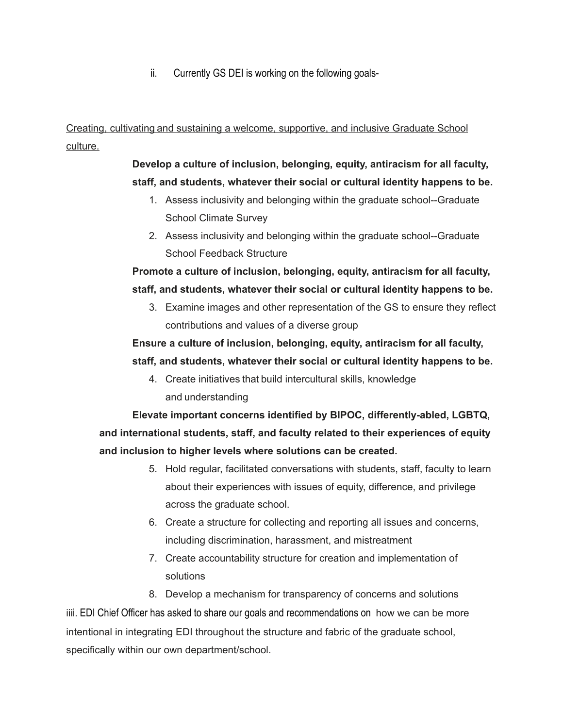ii. Currently GS DEI is working on the following goals-

Creating, cultivating and sustaining a welcome, supportive, and inclusive Graduate School culture.

> **Develop a culture of inclusion, belonging, equity, antiracism for all faculty, staff, and students, whatever their social or cultural identity happens to be.**

- 1. Assess inclusivity and belonging within the graduate school--Graduate School Climate Survey
- 2. Assess inclusivity and belonging within the graduate school--Graduate School Feedback Structure

**Promote a culture of inclusion, belonging, equity, antiracism for all faculty, staff, and students, whatever their social or cultural identity happens to be.**

3. Examine images and other representation of the GS to ensure they reflect contributions and values of a diverse group

**Ensure a culture of inclusion, belonging, equity, antiracism for all faculty, staff, and students, whatever their social or cultural identity happens to be.**

4. Create initiatives that build intercultural skills, knowledge and understanding

**Elevate important concerns identified by BIPOC, differently-abled, LGBTQ, and international students, staff, and faculty related to their experiences of equity and inclusion to higher levels where solutions can be created.**

- 5. Hold regular, facilitated conversations with students, staff, faculty to learn about their experiences with issues of equity, difference, and privilege across the graduate school.
- 6. Create a structure for collecting and reporting all issues and concerns, including discrimination, harassment, and mistreatment
- 7. Create accountability structure for creation and implementation of solutions
- 8. Develop a mechanism for transparency of concerns and solutions

iiii. EDI Chief Officer has asked to share our goals and recommendations on how we can be more intentional in integrating EDI throughout the structure and fabric of the graduate school, specifically within our own department/school.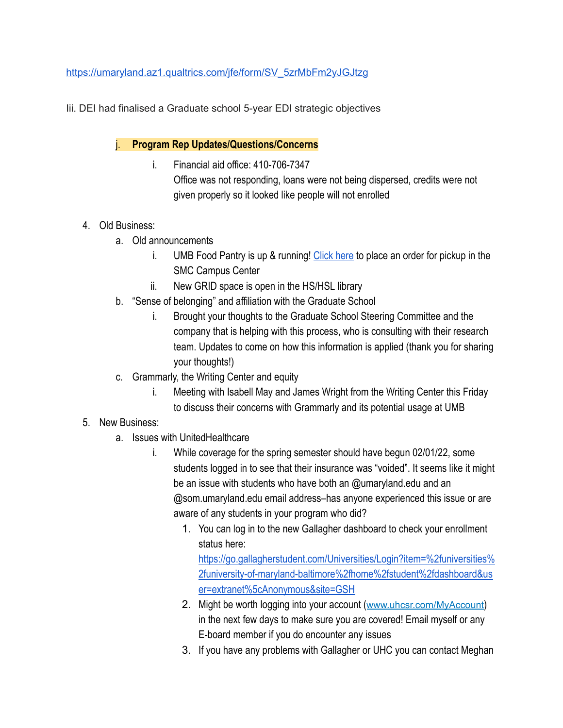[https://umaryland.az1.qualtrics.com/jfe/form/SV\\_5zrMbFm2yJGJtzg](https://umaryland.az1.qualtrics.com/jfe/form/SV_5zrMbFm2yJGJtzg)

Iii. DEI had finalised a Graduate school 5-year EDI strategic objectives

### j. **Program Rep Updates/Questions/Concerns**

- i. Financial aid office: 410-706-7347
	- Office was not responding, loans were not being dispersed, credits were not given properly so it looked like people will not enrolled

#### 4. Old Business:

- a. Old announcements
	- i. UMB Food Pantry is up & running! [Click here](https://clbs.wufoo.com/forms/m1r7ykdq15ixe54/) to place an order for pickup in the SMC Campus Center
	- ii. New GRID space is open in the HS/HSL library
- b. "Sense of belonging" and affiliation with the Graduate School
	- i. Brought your thoughts to the Graduate School Steering Committee and the company that is helping with this process, who is consulting with their research team. Updates to come on how this information is applied (thank you for sharing your thoughts!)
- c. Grammarly, the Writing Center and equity
	- i. Meeting with Isabell May and James Wright from the Writing Center this Friday to discuss their concerns with Grammarly and its potential usage at UMB
- 5. New Business:
	- a. Issues with UnitedHealthcare
		- i. While coverage for the spring semester should have begun 02/01/22, some students logged in to see that their insurance was "voided". It seems like it might be an issue with students who have both an @umaryland.edu and an @som.umaryland.edu email address–has anyone experienced this issue or are aware of any students in your program who did?
			- 1. You can log in to the new Gallagher dashboard to check your enrollment status here:

[https://go.gallagherstudent.com/Universities/Login?item=%2funiversities%](https://go.gallagherstudent.com/Universities/Login?item=%2funiversities%2funiversity-of-maryland-baltimore%2fhome%2fstudent%2fdashboard&user=extranet%5cAnonymous&site=GSH) [2funiversity-of-maryland-baltimore%2fhome%2fstudent%2fdashboard&us](https://go.gallagherstudent.com/Universities/Login?item=%2funiversities%2funiversity-of-maryland-baltimore%2fhome%2fstudent%2fdashboard&user=extranet%5cAnonymous&site=GSH) [er=extranet%5cAnonymous&site=GSH](https://go.gallagherstudent.com/Universities/Login?item=%2funiversities%2funiversity-of-maryland-baltimore%2fhome%2fstudent%2fdashboard&user=extranet%5cAnonymous&site=GSH)

- 2. Might be worth logging into your account ([www.uhcsr.com/MyAccount](https://r20.rs6.net/tn.jsp?f=001qo1-63X3PghyD_L0TJc8bGdbDbV7DfC0261joVCGITS8MjXabnPE8qx861C-jSlj3ueYPDJRt65H9ezW6CQ_B1iVmWKzniShFyxwW1VeQknWCn3cHs_cL6a0lWTqeuf4PbwLTKjSLPoEhVYP7LGdqxruD7trGQwr&c=7TqCoxqIX_thQZLstIGNjsQbtf_YG1sGKCOUx2tLdlGFsKE-9kPXTg==&ch=rCRru5fKkUPPkPqP94KQCMSThyw0zsmaSa2bIgCWq9QG7UBTj0ThPg==)) in the next few days to make sure you are covered! Email myself or any E-board member if you do encounter any issues
- 3. If you have any problems with Gallagher or UHC you can contact Meghan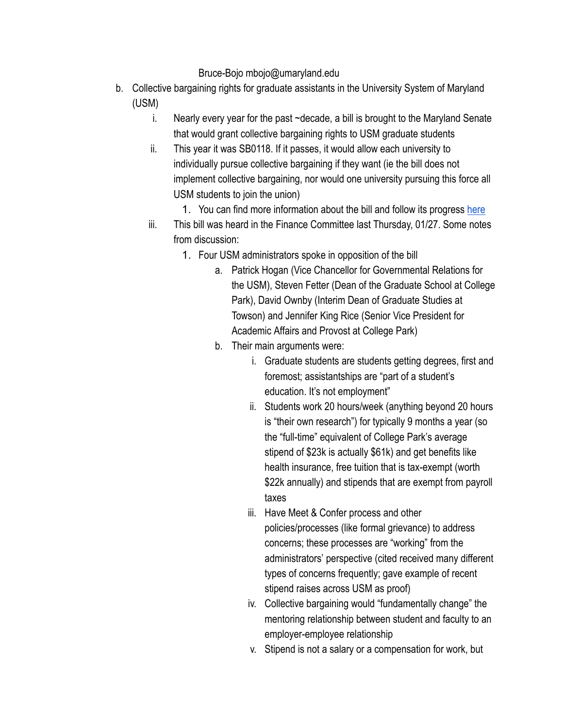Bruce-Bojo mbojo@umaryland.edu

- b. Collective bargaining rights for graduate assistants in the University System of Maryland (USM)
	- i. Nearly every year for the past ~decade, a bill is brought to the Maryland Senate that would grant collective bargaining rights to USM graduate students
	- ii. This year it was SB0118. If it passes, it would allow each university to individually pursue collective bargaining if they want (ie the bill does not implement collective bargaining, nor would one university pursuing this force all USM students to join the union)
		- 1. You can find more information about the bill and follow its progress [here](https://mgaleg.maryland.gov/mgawebsite/Legislation/Details/sb0118?ys=2022RS)
	- iii. This bill was heard in the Finance Committee last Thursday, 01/27. Some notes from discussion:
		- 1. Four USM administrators spoke in opposition of the bill
			- a. Patrick Hogan (Vice Chancellor for Governmental Relations for the USM), Steven Fetter (Dean of the Graduate School at College Park), David Ownby (Interim Dean of Graduate Studies at Towson) and Jennifer King Rice (Senior Vice President for Academic Affairs and Provost at College Park)
			- b. Their main arguments were:
				- i. Graduate students are students getting degrees, first and foremost; assistantships are "part of a student's education. It's not employment"
				- ii. Students work 20 hours/week (anything beyond 20 hours is "their own research") for typically 9 months a year (so the "full-time" equivalent of College Park's average stipend of \$23k is actually \$61k) and get benefits like health insurance, free tuition that is tax-exempt (worth \$22k annually) and stipends that are exempt from payroll taxes
				- iii. Have Meet & Confer process and other policies/processes (like formal grievance) to address concerns; these processes are "working" from the administrators' perspective (cited received many different types of concerns frequently; gave example of recent stipend raises across USM as proof)
				- iv. Collective bargaining would "fundamentally change" the mentoring relationship between student and faculty to an employer-employee relationship
				- v. Stipend is not a salary or a compensation for work, but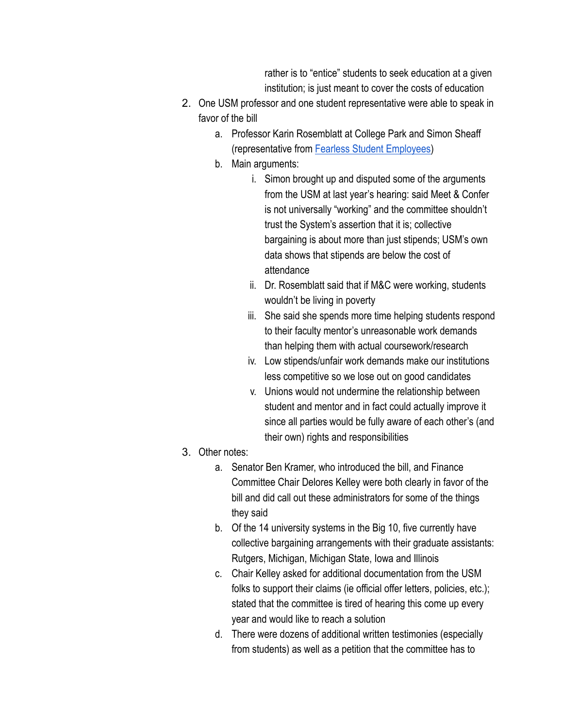rather is to "entice" students to seek education at a given institution; is just meant to cover the costs of education

- 2. One USM professor and one student representative were able to speak in favor of the bill
	- a. Professor Karin Rosemblatt at College Park and Simon Sheaff (representative from [Fearless Student Employees\)](https://terplink.umd.edu/organization/fearless-student-employees)
	- b. Main arguments:
		- i. Simon brought up and disputed some of the arguments from the USM at last year's hearing: said Meet & Confer is not universally "working" and the committee shouldn't trust the System's assertion that it is; collective bargaining is about more than just stipends; USM's own data shows that stipends are below the cost of attendance
		- ii. Dr. Rosemblatt said that if M&C were working, students wouldn't be living in poverty
		- iii. She said she spends more time helping students respond to their faculty mentor's unreasonable work demands than helping them with actual coursework/research
		- iv. Low stipends/unfair work demands make our institutions less competitive so we lose out on good candidates
		- v. Unions would not undermine the relationship between student and mentor and in fact could actually improve it since all parties would be fully aware of each other's (and their own) rights and responsibilities
- 3. Other notes:
	- a. Senator Ben Kramer, who introduced the bill, and Finance Committee Chair Delores Kelley were both clearly in favor of the bill and did call out these administrators for some of the things they said
	- b. Of the 14 university systems in the Big 10, five currently have collective bargaining arrangements with their graduate assistants: Rutgers, Michigan, Michigan State, Iowa and Illinois
	- c. Chair Kelley asked for additional documentation from the USM folks to support their claims (ie official offer letters, policies, etc.); stated that the committee is tired of hearing this come up every year and would like to reach a solution
	- d. There were dozens of additional written testimonies (especially from students) as well as a petition that the committee has to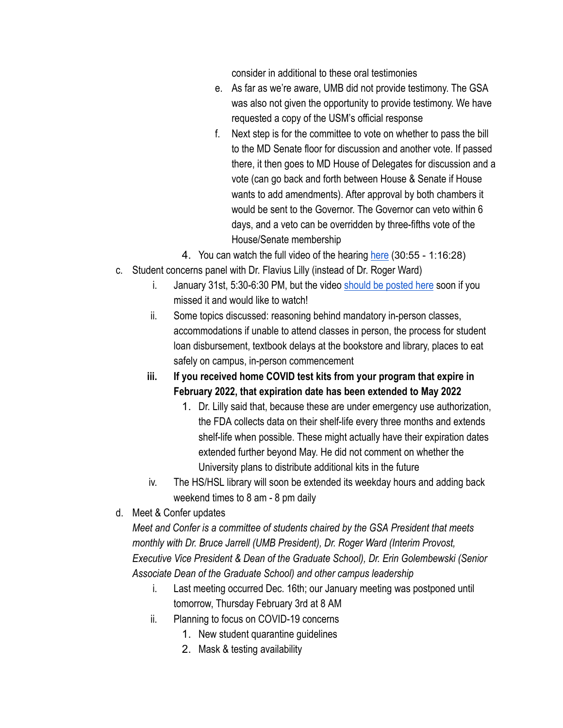consider in additional to these oral testimonies

- e. As far as we're aware, UMB did not provide testimony. The GSA was also not given the opportunity to provide testimony. We have requested a copy of the USM's official response
- f. Next step is for the committee to vote on whether to pass the bill to the MD Senate floor for discussion and another vote. If passed there, it then goes to MD House of Delegates for discussion and a vote (can go back and forth between House & Senate if House wants to add amendments). After approval by both chambers it would be sent to the Governor. The Governor can veto within 6 days, and a veto can be overridden by three-fifths vote of the House/Senate membership
- 4. You can watch the full video of the hearing [here](https://www.youtube.com/watch?v=IXC_tOQSM8c&t=1860s) (30:55 1:16:28)
- c. Student concerns panel with Dr. Flavius Lilly (instead of Dr. Roger Ward)
	- i. January 31st, 5:30-6:30 PM, but the video should be [posted here](https://www.umaryland.edu/usga/events-and-meetings/umb-community-discussions/) soon if you missed it and would like to watch!
	- ii. Some topics discussed: reasoning behind mandatory in-person classes, accommodations if unable to attend classes in person, the process for student loan disbursement, textbook delays at the bookstore and library, places to eat safely on campus, in-person commencement
	- **iii. If you received home COVID test kits from your program that expire in February 2022, that expiration date has been extended to May 2022**
		- 1. Dr. Lilly said that, because these are under emergency use authorization, the FDA collects data on their shelf-life every three months and extends shelf-life when possible. These might actually have their expiration dates extended further beyond May. He did not comment on whether the University plans to distribute additional kits in the future
	- iv. The HS/HSL library will soon be extended its weekday hours and adding back weekend times to 8 am - 8 pm daily
- d. Meet & Confer updates

*Meet and Confer is a committee of students chaired by the GSA President that meets monthly with Dr. Bruce Jarrell (UMB President), Dr. Roger Ward (Interim Provost, Executive Vice President & Dean of the Graduate School), Dr. Erin Golembewski (Senior Associate Dean of the Graduate School) and other campus leadership*

- i. Last meeting occurred Dec. 16th; our January meeting was postponed until tomorrow, Thursday February 3rd at 8 AM
- ii. Planning to focus on COVID-19 concerns
	- 1. New student quarantine guidelines
	- 2. Mask & testing availability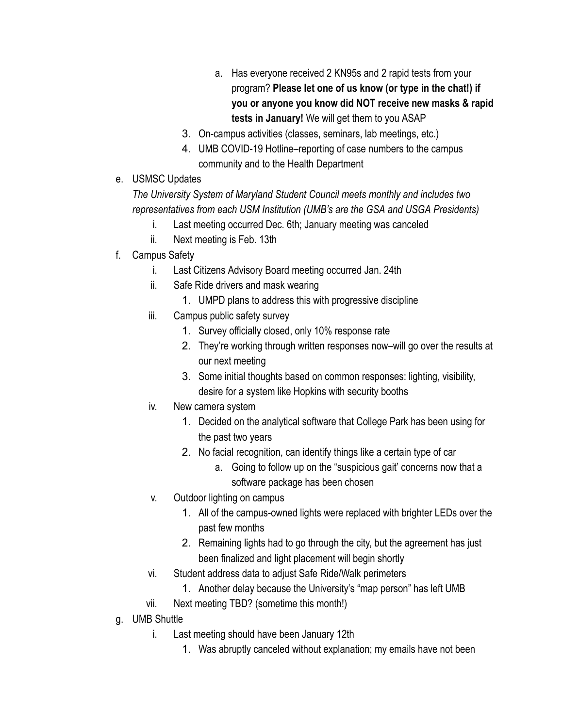- a. Has everyone received 2 KN95s and 2 rapid tests from your program? **Please let one of us know (or type in the chat!) if you or anyone you know did NOT receive new masks & rapid tests in January!** We will get them to you ASAP
- 3. On-campus activities (classes, seminars, lab meetings, etc.)
- 4. UMB COVID-19 Hotline–reporting of case numbers to the campus community and to the Health Department
- e. USMSC Updates

# *The University System of Maryland Student Council meets monthly and includes two representatives from each USM Institution (UMB's are the GSA and USGA Presidents)*

- i. Last meeting occurred Dec. 6th; January meeting was canceled
- ii. Next meeting is Feb. 13th
- f. Campus Safety
	- i. Last Citizens Advisory Board meeting occurred Jan. 24th
	- ii. Safe Ride drivers and mask wearing
		- 1. UMPD plans to address this with progressive discipline
	- iii. Campus public safety survey
		- 1. Survey officially closed, only 10% response rate
		- 2. They're working through written responses now–will go over the results at our next meeting
		- 3. Some initial thoughts based on common responses: lighting, visibility, desire for a system like Hopkins with security booths
	- iv. New camera system
		- 1. Decided on the analytical software that College Park has been using for the past two years
		- 2. No facial recognition, can identify things like a certain type of car
			- a. Going to follow up on the "suspicious gait' concerns now that a software package has been chosen
	- v. Outdoor lighting on campus
		- 1. All of the campus-owned lights were replaced with brighter LEDs over the past few months
		- 2. Remaining lights had to go through the city, but the agreement has just been finalized and light placement will begin shortly
	- vi. Student address data to adjust Safe Ride/Walk perimeters
		- 1. Another delay because the University's "map person" has left UMB
	- vii. Next meeting TBD? (sometime this month!)
- g. UMB Shuttle
	- i. Last meeting should have been January 12th
		- 1. Was abruptly canceled without explanation; my emails have not been